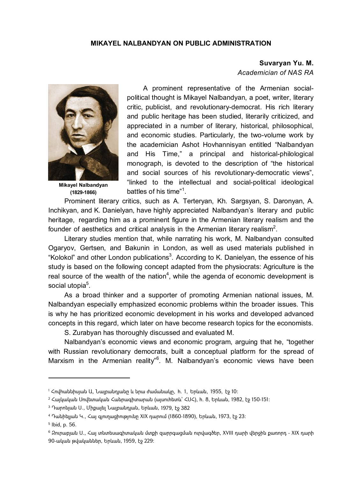#### **MIKAYEL NALBANDYAN ON PUBLIC ADMINISTRATION**

# **Suvaryan Yu. M.**

*Academician of NAS RA* 



**Mikayel Nalbandyan (1829-1866)** 

A prominent representative of the Armenian socialpolitical thought is Mikayel Nalbandyan, a poet, writer, literary critic, publicist, and revolutionary-democrat. His rich literary and public heritage has been studied, literarily criticized, and appreciated in a number of literary, historical, philosophical, and economic studies. Particularly, the two-volume work by the academician Ashot Hovhannisyan entitled "Nalbandyan and His Time," a principal and historical-philological monograph, is devoted to the description of "the historical and social sources of his revolutionary-democratic views", "linked to the intellectual and social-political ideological battles of his time"<sup>1</sup>.

Prominent literary critics, such as A. Terteryan, Kh. Sargsyan, S. Daronyan, A. Inchikyan, and K. Danielyan, have highly appreciated Nalbandyan's literary and public heritage, regarding him as a prominent figure in the Armenian literary realism and the founder of aesthetics and critical analysis in the Armenian literary realism<sup>2</sup>.

Literary studies mention that, while narrating his work, M. Nalbandyan consulted Ogaryov, Gertsen, and Bakunin in London, as well as used materials published in "Kolokol" and other London publications<sup>3</sup>. According to K. Danielyan, the essence of his study is based on the following concept adapted from the physiocrats: Agriculture is the real source of the wealth of the nation<sup>4</sup>, while the agenda of economic development is social utopia<sup>5</sup>.

As a broad thinker and a supporter of promoting Armenian national issues, M. Nalbandyan especially emphasized economic problems within the broader issues. This is why he has prioritized economic development in his works and developed advanced concepts in this regard, which later on have become research topics for the economists.

S. Zurabyan has thoroughly discussed and evaluated M.

Nalbandyan's economic views and economic program, arguing that he, "together with Russian revolutionary democrats, built a conceptual platform for the spread of Marxism in the Armenian reality"<sup>6</sup>. M. Nalbandyan's economic views have been

<sup>1</sup> Հովհաննիսյան Ա, Նալբանդյանը և նրա ժամանակը, հ. 1, Երևան, 1955, էջ 10:

<sup>2</sup> Հայկական Սովետական Հանրագիտարան (այսուհետև` ՀՍՀ), հ. 8, Երևան, 1982, էջ 150-151:

 $3$  Դարոնյան Ս., Միքայել Նայբանդյան, Երևան, 1979, էջ 382

<sup>4</sup> Դանիելյան Կ., Հայ գյուղացիությունը XIX դարում (1860-1890), Երևան, 1973, էջ 23:

<sup>5</sup> Ibid, p. 56.

 $6$  Զուրաբյան Ս., Հայ տնտեսագիտական մտքի զարրգազման ուրվագծեր, XVIII դարի վերջին քառորդ - XIX դարի 90-ական թվականներ, Երևան, 1959, էջ 229: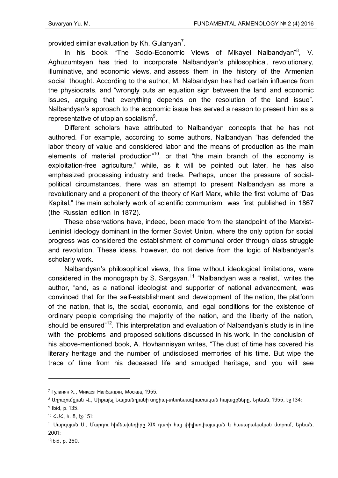provided similar evaluation by Kh. Gulanyan<sup>7</sup>.

In his book "The Socio-Economic Views of Mikayel Nalbandyan"<sup>8</sup>, V. Aghuzumtsyan has tried to incorporate Nalbandyan's philosophical, revolutionary, illuminative, and economic views, and assess them in the history of the Armenian social thought. According to the author, M. Nalbandyan has had certain influence from the physiocrats, and "wrongly puts an equation sign between the land and economic issues, arguing that everything depends on the resolution of the land issue". Nalbandyan's approach to the economic issue has served a reason to present him as a representative of utopian socialism $9$ .

Different scholars have attributed to Nalbandyan concepts that he has not authored. For example, according to some authors, Nalbandyan "has defended the labor theory of value and considered labor and the means of production as the main elements of material production<sup>"10</sup>, or that "the main branch of the economy is exploitation-free agriculture," while, as it will be pointed out later, he has also emphasized processing industry and trade. Perhaps, under the pressure of socialpolitical circumstances, there was an attempt to present Nalbandyan as more a revolutionary and a proponent of the theory of Karl Marx, while the first volume of "Das Kapital," the main scholarly work of scientific communism, was first published in 1867 (the Russian edition in 1872).

These observations have, indeed, been made from the standpoint of the Marxist-Leninist ideology dominant in the former Soviet Union, where the only option for social progress was considered the establishment of communal order through class struggle and revolution. These ideas, however, do not derive from the logic of Nalbandyan's scholarly work.

Nalbandyan's philosophical views, this time without ideological limitations, were considered in the monograph by S. Sargsyan.<sup>11</sup> "Nalbandyan was a realist," writes the author, "and, as a national ideologist and supporter of national advancement, was convinced that for the self-establishment and development of the nation, the platform of the nation, that is, the social, economic, and legal conditions for the existence of ordinary people comprising the majority of the nation, and the liberty of the nation, should be ensured"<sup>12</sup>. This interpretation and evaluation of Nalbandyan's study is in line with the problems and proposed solutions discussed in his work. In the conclusion of his above-mentioned book, A. Hovhannisyan writes, "The dust of time has covered his literary heritage and the number of undisclosed memories of his time. But wipe the trace of time from his deceased life and smudged heritage, and you will see

1

<sup>7</sup> Гуланян Х., Микаел Налбандян, Москва, 1955.

 $8$  Աղուզումզյան Վ., Միքայել Նալբանդյանի սոցիալ-տնտեսագիատական հայազքները, Երևան, 1955, էջ 134։

<sup>9</sup> Ibid, p. 135.

<sup>10</sup> ՀՍՀ, հ. 8, էջ 151:

<sup>11</sup> Սարգսյան Ս., Մարդու հիմնախնդիրը XIX դարի հայ փիլիսոփայական և հասարակական մտքում, Երևան, 2001:

<sup>12</sup>Ibid, p. 260.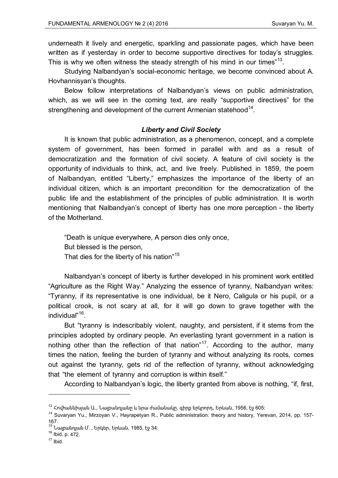underneath it lively and energetic, sparkling and passionate pages, which have been written as if yesterday in order to become supportive directives for today's struggles. This is why we often witness the steady strength of his mind in our times"<sup>13</sup>.

Studying Nalbandyan's social-economic heritage, we become convinced about A. Hovhannisyan's thoughts.

Below follow interpretations of Nalbandyan's views on public administration, which, as we will see in the coming text, are really "supportive directives" for the strengthening and development of the current Armenian statehood $14$ .

#### *Liberty and Civil Society*

It is known that public administration, as a phenomenon, concept, and a complete system of government, has been formed in parallel with and as a result of democratization and the formation of civil society. A feature of civil society is the opportunity of individuals to think, act, and live freely. Published in 1859, the poem of Nalbandyan, entitled "Liberty," emphasizes the importance of the liberty of an individual citizen, which is an important precondition for the democratization of the public life and the establishment of the principles of public administration. It is worth mentioning that Nalbandyan's concept of liberty has one more perception - the liberty of the Motherland.

"Death is unique everywhere, A person dies only once, But blessed is the person, That dies for the liberty of his nation<sup>"15</sup>

Nalbandyan's concept of liberty is further developed in his prominent work entitled "Agriculture as the Right Way." Analyzing the essence of tyranny, Nalbandyan writes: "Tyranny, if its representative is one individual, be it Nero, Caligula or his pupil, or a political crook, is not scary at all, for it will go down to grave together with the individual"16.

But "tyranny is indescribably violent, naughty, and persistent, if it stems from the principles adopted by ordinary people. An everlasting tyrant government in a nation is nothing other than the reflection of that nation"<sup>17</sup>. According to the author, many times the nation, feeling the burden of tyranny and without analyzing its roots, comes out against the tyranny, gets rid of the reflection of tyranny, without acknowledging that "the element of tyranny and corruption is within itself."

According to Nalbandyan's logic, the liberty granted from above is nothing, "if, first,

 $\overline{\phantom{a}}$ 

 $^{13}$  Հովհաննիսյան Ա., Նալբանդյանը և նրա ժամանակը, գիրք երկրորդ, Երևան, 1956, էջ 605:

*<sup>14</sup>* Suvaryan Yu., Mirzoyan V., Hayrapetyan R., Public administration: theory and history, Yerevan, 2014, pp. 157- 167.

<sup>&</sup>lt;sup>15</sup> Նալբանդյան Մ․, Երկեր, Երևան, 1985, էջ 34:<br><sup>16</sup> Ibid, p. 472.

 $17$  Ibid.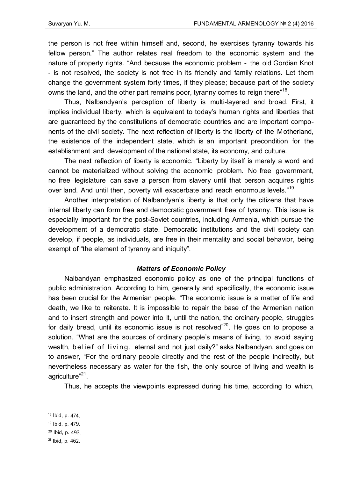the person is not free within himself and, second, he exercises tyranny towards his fellow person." The author relates real freedom to the economic system and the nature of property rights. "And because the economic problem - the old Gordian Knot - is not resolved, the society is not free in its friendly and family relations. Let them change the government system forty times, if they please; because part of the society owns the land, and the other part remains poor, tyranny comes to reign there"<sup>18</sup>.

Thus, Nalbandyan's perception of liberty is multi-layered and broad. First, it implies individual liberty, which is equivalent to today's human rights and liberties that are guaranteed by the constitutions of democratic countries and are important components of the civil society. The next reflection of liberty is the liberty of the Motherland, the existence of the independent state, which is an important precondition for the establishment and development of the national state, its economy, and culture.

The next reflection of liberty is economic. "Liberty by itself is merely a word and cannot be materialized without solving the economic problem. No free government, no free legislature can save a person from slavery until that person acquires rights over land. And until then, poverty will exacerbate and reach enormous levels."<sup>19</sup>

Another interpretation of Nalbandyan's liberty is that only the citizens that have internal liberty can form free and democratic government free of tyranny. This issue is especially important for the post-Soviet countries, including Armenia, which pursue the development of a democratic state. Democratic institutions and the civil society can develop, if people, as individuals, are free in their mentality and social behavior, being exempt of "the element of tyranny and iniquity".

## *Matters of Economic Policy*

Nalbandyan emphasized economic policy as one of the principal functions of public administration. According to him, generally and specifically, the economic issue has been crucial for the Armenian people. "The economic issue is a matter of life and death, we like to reiterate. It is impossible to repair the base of the Armenian nation and to insert strength and power into it, until the nation, the ordinary people, struggles for daily bread, until its economic issue is not resolved<sup>"20</sup>. He goes on to propose a solution. "What are the sources of ordinary people's means of living, to avoid saying wealth, belief of living, eternal and not just daily?" asks Nalbandyan, and goes on to answer, "For the ordinary people directly and the rest of the people indirectly, but nevertheless necessary as water for the fish, the only source of living and wealth is agriculture"<sup>21</sup>.

Thus, he accepts the viewpoints expressed during his time, according to which,

1

<sup>18</sup> Ibid, p. 474.

<sup>19</sup> Ibid, p. 479.

<sup>20</sup> Ibid, p. 493.

<sup>21</sup> Ibid, p. 462.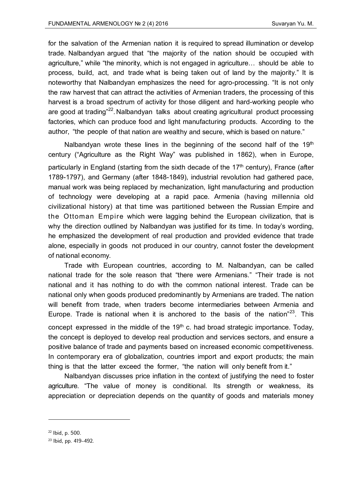for the salvation of the Armenian nation it is required to spread illumination or develop trade. Nalbandyan argued that "the majority of the nation should be occupied with agriculture," while "the minority, which is not engaged in agriculture… should be able to process, build, act, and trade what is being taken out of land by the majority." It is noteworthy that Nalbandyan emphasizes the need for agro-processing. "It is not only the raw harvest that can attract the activities of Armenian traders, the processing of this harvest is a broad spectrum of activity for those diligent and hard-working people who are good at trading<sup>"22</sup>. Nalbandyan talks about creating agricultural product processing factories, which can produce food and light manufacturing products. According to the author, "the people of that nation are wealthy and secure, which is based on nature."

Nalbandyan wrote these lines in the beginning of the second half of the 19<sup>th</sup> century ("Agriculture as the Right Way" was published in 1862), when in Europe, particularly in England (starting from the sixth decade of the  $17<sup>th</sup>$  century), France (after 1789-1797), and Germany (after 1848-1849), industrial revolution had gathered pace, manual work was being replaced by mechanization, light manufacturing and production of technology were developing at a rapid pace. Armenia (having millennia old civilizational history) at that time was partitioned between the Russian Empire and the Ottoman Empire which were lagging behind the European civilization, that is why the direction outlined by Nalbandyan was justified for its time. In today's wording, he emphasized the development of real production and provided evidence that trade alone, especially in goods not produced in our country, cannot foster the development of national economy.

Trade with European countries, according to M. Nalbandyan, can be called national trade for the sole reason that "there were Armenians." "Their trade is not national and it has nothing to do with the common national interest. Trade can be national only when goods produced predominantly by Armenians are traded. The nation will benefit from trade, when traders become intermediaries between Armenia and Europe. Trade is national when it is anchored to the basis of the nation $^{23}$ . This concept expressed in the middle of the  $19<sup>th</sup>$  c. had broad strategic importance. Today, the concept is deployed to develop real production and services sectors, and ensure a positive balance of trade and payments based on increased economic competitiveness. In contemporary era of globalization, countries import and export products; the main thing is that the latter exceed the former, "the nation will only benefit from it."

Nalbandyan discusses price inflation in the context of justifying the need to foster agriculture. "The value of money is conditional. Its strength or weakness, its appreciation or depreciation depends on the quantity of goods and materials money

<sup>22</sup> Ibid, p. 500.

<sup>23</sup> Ibid, pp. 419–492.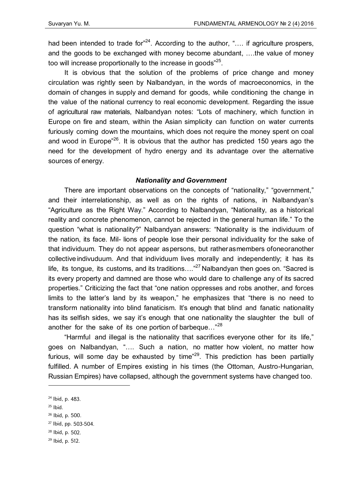had been intended to trade for<sup>"24</sup>. According to the author, ".... if agriculture prospers, and the goods to be exchanged with money become abundant, .…the value of money too will increase proportionally to the increase in goods"<sup>25</sup>.

It is obvious that the solution of the problems of price change and money circulation was rightly seen by Nalbandyan, in the words of macroeconomics, in the domain of changes in supply and demand for goods, while conditioning the change in the value of the national currency to real economic development. Regarding the issue of agricultural raw materials, Nalbandyan notes: "Lots of machinery, which function in Europe on fire and steam, within the Asian simplicity can function on water currents furiously coming down the mountains, which does not require the money spent on coal and wood in Europe<sup>"26</sup>. It is obvious that the author has predicted 150 years ago the need for the development of hydro energy and its advantage over the alternative sources of energy.

### *Nationality and Government*

There are important observations on the concepts of "nationality," "government," and their interrelationship, as well as on the rights of nations, in Nalbandyan's "Agriculture as the Right Way." According to Nalbandyan, "Nationality, as a historical reality and concrete phenomenon, cannot be rejected in the general human life." To the question "what is nationality?" Nalbandyan answers: "Nationality is the individuum of the nation, its face. Mil- lions of people lose their personal individuality for the sake of that individuum. They do not appear aspersons, but ratherasmembers ofoneoranother collective indivuduum. And that individuum lives morally and independently; it has its life, its tongue, its customs, and its traditions...."<sup>27</sup> Nalbandyan then goes on. "Sacred is its every property and damned are those who would dare to challenge any of its sacred properties." Criticizing the fact that "one nation oppresses and robs another, and forces limits to the latter's land by its weapon," he emphasizes that "there is no need to transform nationality into blind fanaticism. It's enough that blind and fanatic nationality has its selfish sides, we say it's enough that one nationality the slaughter the bull of another for the sake of its one portion of barbeque..."<sup>28</sup>

"Harmful and illegal is the nationality that sacrifices everyone other for its life," goes on Nalbandyan, "…. Such a nation, no matter how violent, no matter how furious, will some day be exhausted by time $^{29}$ . This prediction has been partially fulfilled. A number of Empires existing in his times (the Ottoman, Austro-Hungarian, Russian Empires) have collapsed, although the government systems have changed too.

 $25$  Ibid.

- 26 Ibid, p. 500.
- 27 Ibid, pp. 503-504.
- 28 Ibid, p. 502.
- 29 Ibid, p. 512.

<sup>24</sup> Ibid, p. 483.